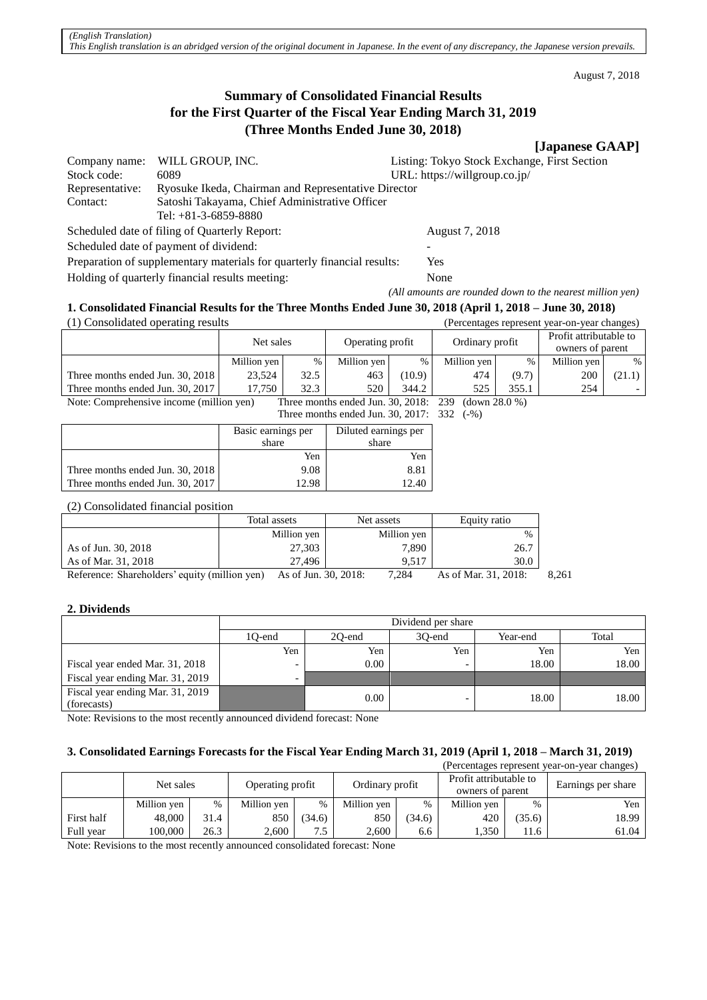August 7, 2018

# **Summary of Consolidated Financial Results for the First Quarter of the Fiscal Year Ending March 31, 2019 (Three Months Ended June 30, 2018)**

# **[Japanese GAAP]**

| Company name:                                                           | WILL GROUP, INC.                                    | Listing: Tokyo Stock Exchange, First Section              |  |  |  |
|-------------------------------------------------------------------------|-----------------------------------------------------|-----------------------------------------------------------|--|--|--|
| Stock code:                                                             | 6089                                                | URL: https://willgroup.co.jp/                             |  |  |  |
| Representative:                                                         | Ryosuke Ikeda, Chairman and Representative Director |                                                           |  |  |  |
| Contact:                                                                | Satoshi Takayama, Chief Administrative Officer      |                                                           |  |  |  |
|                                                                         | Tel: $+81-3-6859-8880$                              |                                                           |  |  |  |
| Scheduled date of filing of Quarterly Report:                           |                                                     | August 7, 2018                                            |  |  |  |
| Scheduled date of payment of dividend:                                  |                                                     |                                                           |  |  |  |
| Preparation of supplementary materials for quarterly financial results: |                                                     | Yes                                                       |  |  |  |
| Holding of quarterly financial results meeting:                         |                                                     | None                                                      |  |  |  |
|                                                                         |                                                     | (All amounts are rounded down to the nearest million yen) |  |  |  |

# **1. Consolidated Financial Results for the Three Months Ended June 30, 2018 (April 1, 2018 – June 30, 2018)**

| (1) Consolidated operating results       |             |      |                                                  |        |                         |       | (Percentages represent year-on-year changes) |        |
|------------------------------------------|-------------|------|--------------------------------------------------|--------|-------------------------|-------|----------------------------------------------|--------|
|                                          | Net sales   |      | Operating profit                                 |        | Ordinary profit         |       | Profit attributable to<br>owners of parent   |        |
|                                          | Million yen | %    | Million yen                                      | $\%$   | Million yen             | %     | Million yen                                  | %      |
| Three months ended Jun. 30, 2018         | 23.524      | 32.5 | 463                                              | (10.9) | 474                     | (9.7) | 200                                          | (21.1) |
| Three months ended Jun. 30, 2017         | 17.750      | 32.3 | 520                                              | 344.2  | 525                     | 355.1 | 254                                          |        |
| Note: Comprehensive income (million yen) |             |      | Three months ended $\lim_{n \to \infty} 30.2018$ |        | $($ down 28 0 %)<br>230 |       |                                              |        |

Note: Comprehensive income (million yen) Three months ended Jun. 30, 2018: 239 (down 28.0 %) Three months ended Jun. 30, 2017: 332 (-%)

|                                  | Basic earnings per<br>share | Diluted earnings per<br>share |
|----------------------------------|-----------------------------|-------------------------------|
|                                  | Yen                         | Yen                           |
| Three months ended Jun. 30, 2018 | 9.08                        | 8.81                          |
| Three months ended Jun. 30, 2017 | 12.98                       | 2.40                          |

(2) Consolidated financial position

|                                                                                                                                                                                                                                                                                                                                                                                    | Total assets                                                         | Net assets  | Equity ratio      |
|------------------------------------------------------------------------------------------------------------------------------------------------------------------------------------------------------------------------------------------------------------------------------------------------------------------------------------------------------------------------------------|----------------------------------------------------------------------|-------------|-------------------|
|                                                                                                                                                                                                                                                                                                                                                                                    | Million yen                                                          | Million yen | $\%$              |
| As of Jun. 30, 2018                                                                                                                                                                                                                                                                                                                                                                | 27,303                                                               | 7.890       | 26.7              |
| As of Mar. 31, 2018                                                                                                                                                                                                                                                                                                                                                                | 27.496                                                               | 9.517       | 30.0              |
| $D_{\alpha} f_{\alpha}$ , $\ldots$ , $C_{\alpha}$ , $C_{\alpha}$ , $C_{\alpha}$ , $C_{\alpha}$ , $C_{\alpha}$ , $C_{\alpha}$ , $C_{\alpha}$ , $C_{\alpha}$ , $C_{\alpha}$ , $C_{\alpha}$ , $C_{\alpha}$ , $C_{\alpha}$ , $C_{\alpha}$ , $C_{\alpha}$ , $C_{\alpha}$ , $C_{\alpha}$ , $C_{\alpha}$ , $C_{\alpha}$ , $C_{\alpha}$ , $C_{\alpha}$ , $C_{\alpha}$ , $C_{\alpha}$ , $C$ | $A = -1$ L <sub>2</sub> $\Omega$ $\Omega$ $\Omega$ $\Omega$ $\Omega$ | 7001        | $A = -2M - 21 20$ |

Reference: Shareholders' equity (million yen) As of Jun. 30, 2018: 7,284 As of Mar. 31, 2018: 8,261

# **2. Dividends**

|                                                 | Dividend per share       |                                       |     |       |       |  |  |
|-------------------------------------------------|--------------------------|---------------------------------------|-----|-------|-------|--|--|
|                                                 | 10-end                   | 30-end<br>Total<br>20-end<br>Year-end |     |       |       |  |  |
|                                                 | Yen -                    | Yen                                   | Yen | Yen   | Yen   |  |  |
| Fiscal year ended Mar. 31, 2018                 | $\overline{\phantom{a}}$ | $0.00\,$                              |     | 18.00 | 18.00 |  |  |
| Fiscal year ending Mar. 31, 2019                | $\overline{\phantom{0}}$ |                                       |     |       |       |  |  |
| Fiscal year ending Mar. 31, 2019<br>(forecasts) |                          | 0.00                                  |     | 18.00 | 18.00 |  |  |

Note: Revisions to the most recently announced dividend forecast: None

# **3. Consolidated Earnings Forecasts for the Fiscal Year Ending March 31, 2019 (April 1, 2018 – March 31, 2019)**

| (Percentages represent year-on-year changes) |             |      |                  |        |                 |        |                        |        |                    |
|----------------------------------------------|-------------|------|------------------|--------|-----------------|--------|------------------------|--------|--------------------|
|                                              | Net sales   |      |                  |        |                 |        | Profit attributable to |        |                    |
|                                              |             |      | Operating profit |        | Ordinary profit |        | owners of parent       |        | Earnings per share |
|                                              | Million yen | $\%$ | Million yen      | $\%$   | Million yen     | $\%$   | Million yen            | $\%$   | Yen                |
| First half                                   | 48,000      | 31.4 | 850              | (34.6) | 850             | (34.6) | 420                    | (35.6) | 18.99              |
| Full year                                    | 100.000     | 26.3 | 2.600            | 7.5    | 2.600           | 6.6    | 1.350                  | 11.6   | 61.04              |

Note: Revisions to the most recently announced consolidated forecast: None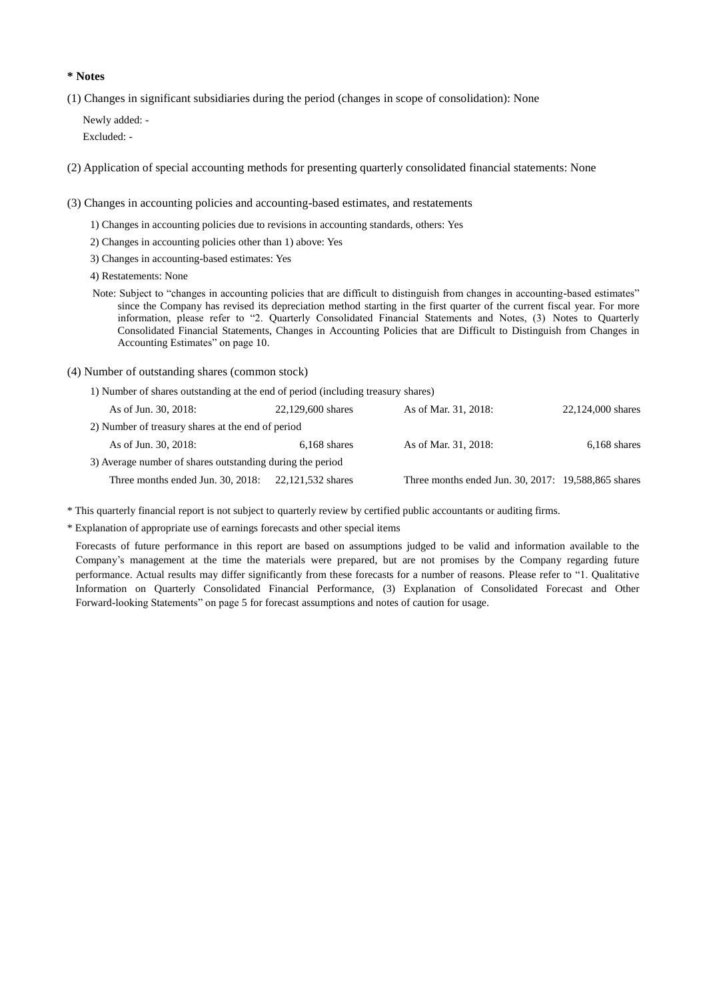### **\* Notes**

(1) Changes in significant subsidiaries during the period (changes in scope of consolidation): None

Newly added: - Excluded: -

(2) Application of special accounting methods for presenting quarterly consolidated financial statements: None

(3) Changes in accounting policies and accounting-based estimates, and restatements

- 1) Changes in accounting policies due to revisions in accounting standards, others: Yes
- 2) Changes in accounting policies other than 1) above: Yes
- 3) Changes in accounting-based estimates: Yes

4) Restatements: None

- Note: Subject to "changes in accounting policies that are difficult to distinguish from changes in accounting-based estimates" since the Company has revised its depreciation method starting in the first quarter of the current fiscal year. For more information, please refer to "2. Quarterly Consolidated Financial Statements and Notes, (3) Notes to Quarterly Consolidated Financial Statements, Changes in Accounting Policies that are Difficult to Distinguish from Changes in Accounting Estimates" on page 10.
- (4) Number of outstanding shares (common stock)

1) Number of shares outstanding at the end of period (including treasury shares)

| As of Jun. 30, 2018:                                      | 22,129,600 shares | As of Mar. 31, 2018:                                | 22,124,000 shares |
|-----------------------------------------------------------|-------------------|-----------------------------------------------------|-------------------|
| 2) Number of treasury shares at the end of period         |                   |                                                     |                   |
| As of Jun. 30, 2018:                                      | $6,168$ shares    | As of Mar. 31, 2018:                                | $6,168$ shares    |
| 3) Average number of shares outstanding during the period |                   |                                                     |                   |
| Three months ended Jun. 30, 2018:                         | 22.121.532 shares | Three months ended Jun. 30, 2017: 19,588,865 shares |                   |

\* This quarterly financial report is not subject to quarterly review by certified public accountants or auditing firms.

\* Explanation of appropriate use of earnings forecasts and other special items

Forecasts of future performance in this report are based on assumptions judged to be valid and information available to the Company's management at the time the materials were prepared, but are not promises by the Company regarding future performance. Actual results may differ significantly from these forecasts for a number of reasons. Please refer to "1. Qualitative Information on Quarterly Consolidated Financial Performance, (3) Explanation of Consolidated Forecast and Other Forward-looking Statements" on page 5 for forecast assumptions and notes of caution for usage.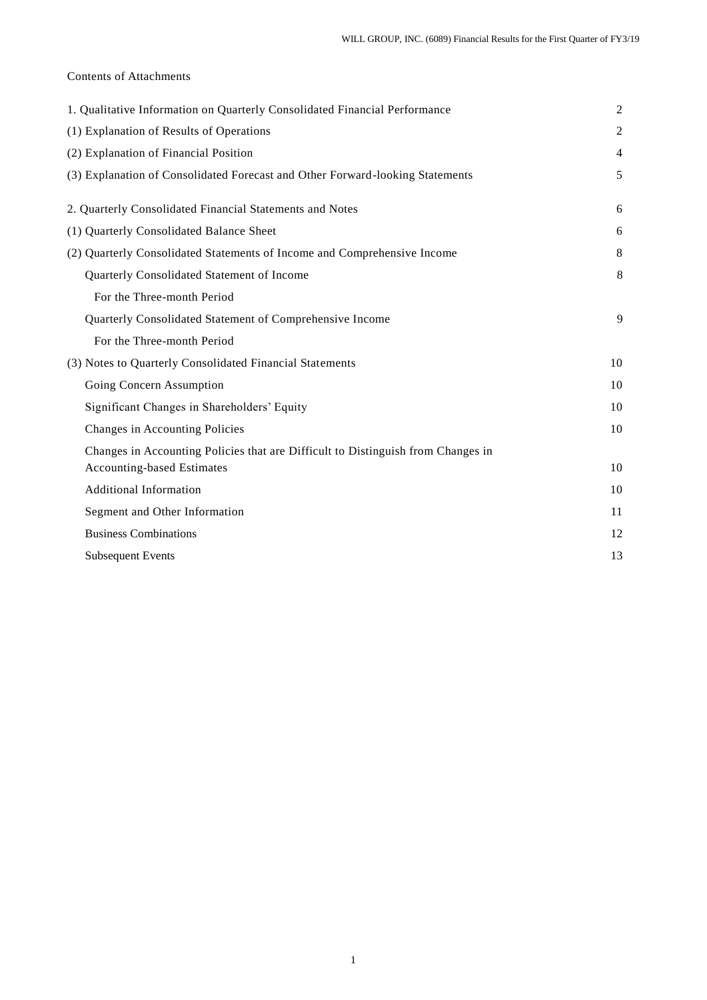# Contents of Attachments

| 1. Qualitative Information on Quarterly Consolidated Financial Performance       | $\overline{c}$ |
|----------------------------------------------------------------------------------|----------------|
| (1) Explanation of Results of Operations                                         | $\overline{c}$ |
| (2) Explanation of Financial Position                                            | $\overline{4}$ |
| (3) Explanation of Consolidated Forecast and Other Forward-looking Statements    | 5              |
| 2. Quarterly Consolidated Financial Statements and Notes                         | 6              |
| (1) Quarterly Consolidated Balance Sheet                                         | 6              |
| (2) Quarterly Consolidated Statements of Income and Comprehensive Income         | 8              |
| Quarterly Consolidated Statement of Income                                       | 8              |
| For the Three-month Period                                                       |                |
| Quarterly Consolidated Statement of Comprehensive Income                         | 9              |
| For the Three-month Period                                                       |                |
| (3) Notes to Quarterly Consolidated Financial Statements                         | 10             |
| Going Concern Assumption                                                         | 10             |
| Significant Changes in Shareholders' Equity                                      | 10             |
| Changes in Accounting Policies                                                   | 10             |
| Changes in Accounting Policies that are Difficult to Distinguish from Changes in |                |
| <b>Accounting-based Estimates</b>                                                | 10             |
| <b>Additional Information</b>                                                    | 10             |
| Segment and Other Information                                                    | 11             |
| <b>Business Combinations</b>                                                     | 12             |
| <b>Subsequent Events</b>                                                         | 13             |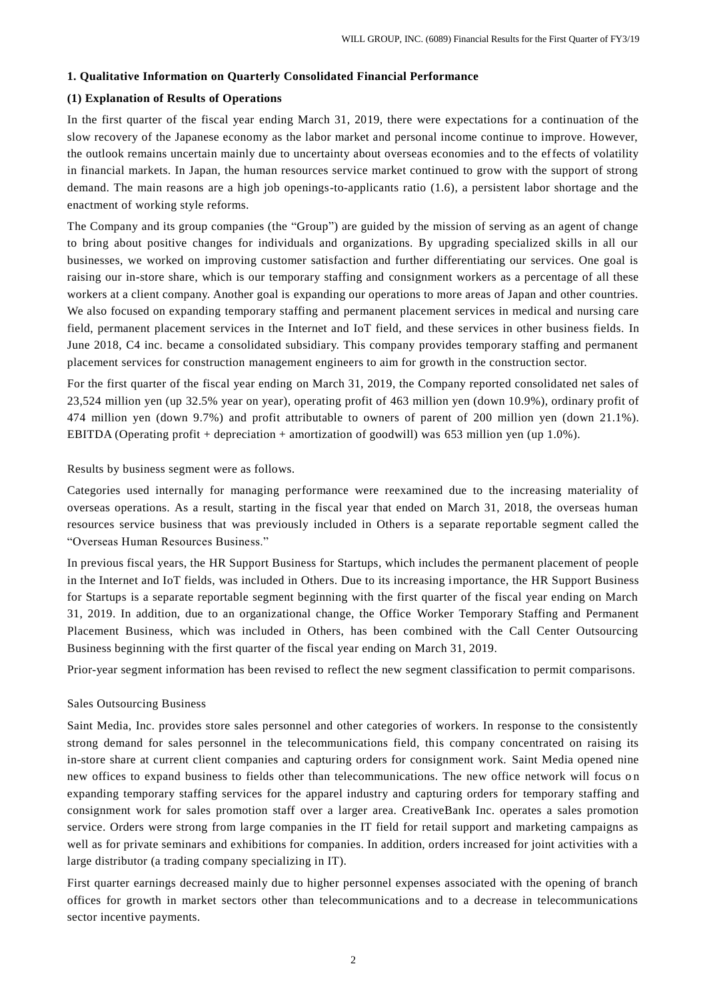#### **1. Qualitative Information on Quarterly Consolidated Financial Performance**

### **(1) Explanation of Results of Operations**

In the first quarter of the fiscal year ending March 31, 2019, there were expectations for a continuation of the slow recovery of the Japanese economy as the labor market and personal income continue to improve. However, the outlook remains uncertain mainly due to uncertainty about overseas economies and to the effects of volatility in financial markets. In Japan, the human resources service market continued to grow with the support of strong demand. The main reasons are a high job openings-to-applicants ratio (1.6), a persistent labor shortage and the enactment of working style reforms.

The Company and its group companies (the "Group") are guided by the mission of serving as an agent of change to bring about positive changes for individuals and organizations. By upgrading specialized skills in all our businesses, we worked on improving customer satisfaction and further differentiating our services. One goal is raising our in-store share, which is our temporary staffing and consignment workers as a percentage of all these workers at a client company. Another goal is expanding our operations to more areas of Japan and other countries. We also focused on expanding temporary staffing and permanent placement services in medical and nursing care field, permanent placement services in the Internet and IoT field, and these services in other business fields. In June 2018, C4 inc. became a consolidated subsidiary. This company provides temporary staffing and permanent placement services for construction management engineers to aim for growth in the construction sector.

For the first quarter of the fiscal year ending on March 31, 2019, the Company reported consolidated net sales of 23,524 million yen (up 32.5% year on year), operating profit of 463 million yen (down 10.9%), ordinary profit of 474 million yen (down 9.7%) and profit attributable to owners of parent of 200 million yen (down 21.1%). EBITDA (Operating profit + depreciation + amortization of goodwill) was 653 million yen (up 1.0%).

Results by business segment were as follows.

Categories used internally for managing performance were reexamined due to the increasing materiality of overseas operations. As a result, starting in the fiscal year that ended on March 31, 2018, the overseas human resources service business that was previously included in Others is a separate reportable segment called the "Overseas Human Resources Business."

In previous fiscal years, the HR Support Business for Startups, which includes the permanent placement of people in the Internet and IoT fields, was included in Others. Due to its increasing importance, the HR Support Business for Startups is a separate reportable segment beginning with the first quarter of the fiscal year ending on March 31, 2019. In addition, due to an organizational change, the Office Worker Temporary Staffing and Permanent Placement Business, which was included in Others, has been combined with the Call Center Outsourcing Business beginning with the first quarter of the fiscal year ending on March 31, 2019.

Prior-year segment information has been revised to reflect the new segment classification to permit comparisons.

#### Sales Outsourcing Business

Saint Media, Inc. provides store sales personnel and other categories of workers. In response to the consistently strong demand for sales personnel in the telecommunications field, this company concentrated on raising its in-store share at current client companies and capturing orders for consignment work. Saint Media opened nine new offices to expand business to fields other than telecommunications. The new office network will focus on expanding temporary staffing services for the apparel industry and capturing orders for temporary staffing and consignment work for sales promotion staff over a larger area. CreativeBank Inc. operates a sales promotion service. Orders were strong from large companies in the IT field for retail support and marketing campaigns as well as for private seminars and exhibitions for companies. In addition, orders increased for joint activities with a large distributor (a trading company specializing in IT).

First quarter earnings decreased mainly due to higher personnel expenses associated with the opening of branch offices for growth in market sectors other than telecommunications and to a decrease in telecommunications sector incentive payments.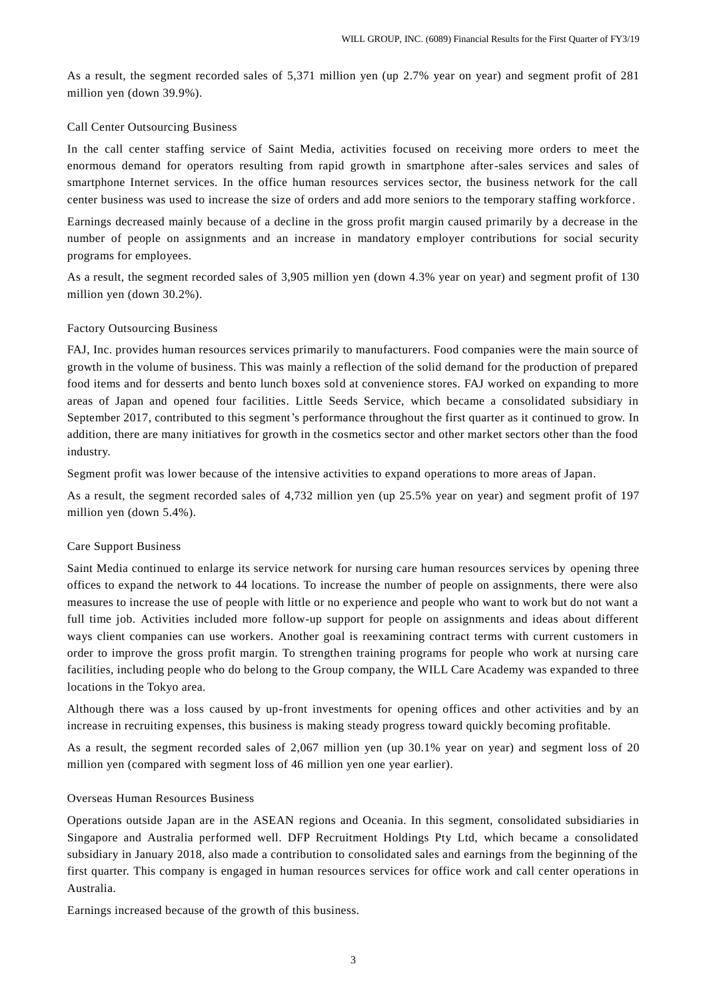As a result, the segment recorded sales of 5,371 million yen (up 2.7% year on year) and segment profit of 281 million yen (down 39.9%).

#### Call Center Outsourcing Business

In the call center staffing service of Saint Media, activities focused on receiving more orders to meet the enormous demand for operators resulting from rapid growth in smartphone after-sales services and sales of smartphone Internet services. In the office human resources services sector, the business network for the call center business was used to increase the size of orders and add more seniors to the temporary staffing workforce .

Earnings decreased mainly because of a decline in the gross profit margin caused primarily by a decrease in the number of people on assignments and an increase in mandatory employer contributions for social security programs for employees.

As a result, the segment recorded sales of 3,905 million yen (down 4.3% year on year) and segment profit of 130 million yen (down 30.2%).

#### Factory Outsourcing Business

FAJ, Inc. provides human resources services primarily to manufacturers. Food companies were the main source of growth in the volume of business. This was mainly a reflection of the solid demand for the production of prepared food items and for desserts and bento lunch boxes sold at convenience stores. FAJ worked on expanding to more areas of Japan and opened four facilities. Little Seeds Service, which became a consolidated subsidiary in September 2017, contributed to this segment's performance throughout the first quarter as it continued to grow. In addition, there are many initiatives for growth in the cosmetics sector and other market sectors other than the food industry.

Segment profit was lower because of the intensive activities to expand operations to more areas of Japan.

As a result, the segment recorded sales of 4,732 million yen (up 25.5% year on year) and segment profit of 197 million yen (down 5.4%).

#### Care Support Business

Saint Media continued to enlarge its service network for nursing care human resources services by opening three offices to expand the network to 44 locations. To increase the number of people on assignments, there were also measures to increase the use of people with little or no experience and people who want to work but do not want a full time job. Activities included more follow-up support for people on assignments and ideas about different ways client companies can use workers. Another goal is reexamining contract terms with current customers in order to improve the gross profit margin. To strengthen training programs for people who work at nursing care facilities, including people who do belong to the Group company, the WILL Care Academy was expanded to three locations in the Tokyo area.

Although there was a loss caused by up-front investments for opening offices and other activities and by an increase in recruiting expenses, this business is making steady progress toward quickly becoming profitable.

As a result, the segment recorded sales of 2,067 million yen (up 30.1% year on year) and segment loss of 20 million yen (compared with segment loss of 46 million yen one year earlier).

### Overseas Human Resources Business

Operations outside Japan are in the ASEAN regions and Oceania. In this segment, consolidated subsidiaries in Singapore and Australia performed well. DFP Recruitment Holdings Pty Ltd, which became a consolidated subsidiary in January 2018, also made a contribution to consolidated sales and earnings from the beginning of the first quarter. This company is engaged in human resources services for office work and call center operations in Australia.

Earnings increased because of the growth of this business.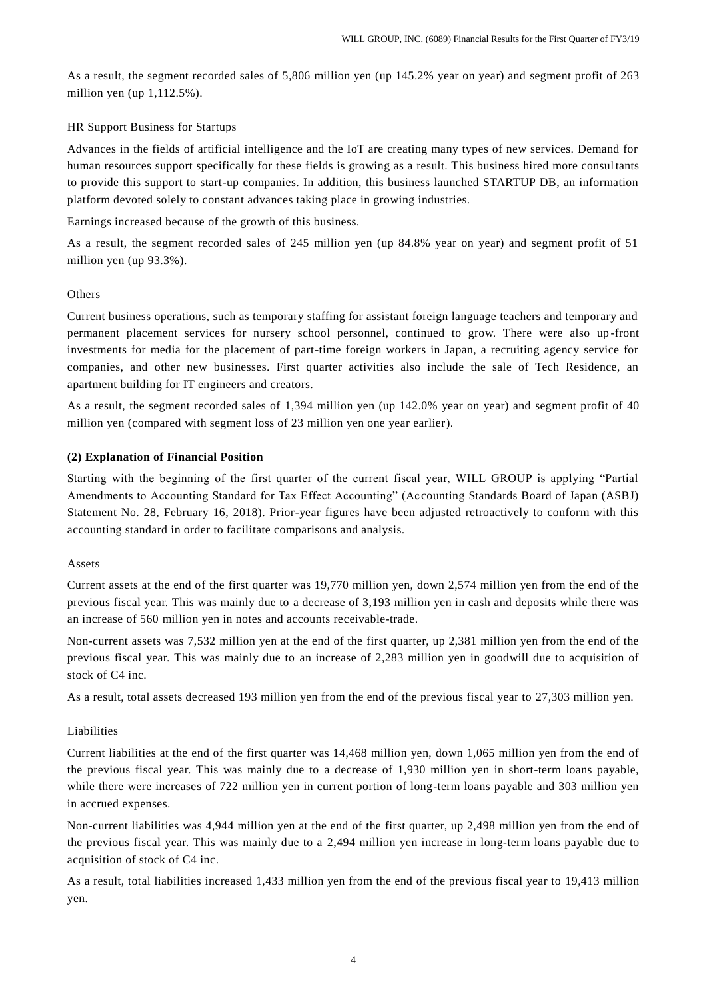As a result, the segment recorded sales of 5,806 million yen (up 145.2% year on year) and segment profit of 263 million yen (up 1,112.5%).

# HR Support Business for Startups

Advances in the fields of artificial intelligence and the IoT are creating many types of new services. Demand for human resources support specifically for these fields is growing as a result. This business hired more consul tants to provide this support to start-up companies. In addition, this business launched STARTUP DB, an information platform devoted solely to constant advances taking place in growing industries.

Earnings increased because of the growth of this business.

As a result, the segment recorded sales of 245 million yen (up 84.8% year on year) and segment profit of 51 million yen (up 93.3%).

#### **Others**

Current business operations, such as temporary staffing for assistant foreign language teachers and temporary and permanent placement services for nursery school personnel, continued to grow. There were also up -front investments for media for the placement of part-time foreign workers in Japan, a recruiting agency service for companies, and other new businesses. First quarter activities also include the sale of Tech Residence, an apartment building for IT engineers and creators.

As a result, the segment recorded sales of 1,394 million yen (up 142.0% year on year) and segment profit of 40 million yen (compared with segment loss of 23 million yen one year earlier).

#### **(2) Explanation of Financial Position**

Starting with the beginning of the first quarter of the current fiscal year, WILL GROUP is applying "Partial Amendments to Accounting Standard for Tax Effect Accounting" (Accounting Standards Board of Japan (ASBJ) Statement No. 28, February 16, 2018). Prior-year figures have been adjusted retroactively to conform with this accounting standard in order to facilitate comparisons and analysis.

### Assets

Current assets at the end of the first quarter was 19,770 million yen, down 2,574 million yen from the end of the previous fiscal year. This was mainly due to a decrease of 3,193 million yen in cash and deposits while there was an increase of 560 million yen in notes and accounts receivable-trade.

Non-current assets was 7,532 million yen at the end of the first quarter, up 2,381 million yen from the end of the previous fiscal year. This was mainly due to an increase of 2,283 million yen in goodwill due to acquisition of stock of C4 inc.

As a result, total assets decreased 193 million yen from the end of the previous fiscal year to 27,303 million yen.

#### Liabilities

Current liabilities at the end of the first quarter was 14,468 million yen, down 1,065 million yen from the end of the previous fiscal year. This was mainly due to a decrease of 1,930 million yen in short-term loans payable, while there were increases of 722 million yen in current portion of long-term loans payable and 303 million yen in accrued expenses.

Non-current liabilities was 4,944 million yen at the end of the first quarter, up 2,498 million yen from the end of the previous fiscal year. This was mainly due to a 2,494 million yen increase in long-term loans payable due to acquisition of stock of C4 inc.

As a result, total liabilities increased 1,433 million yen from the end of the previous fiscal year to 19,413 million yen.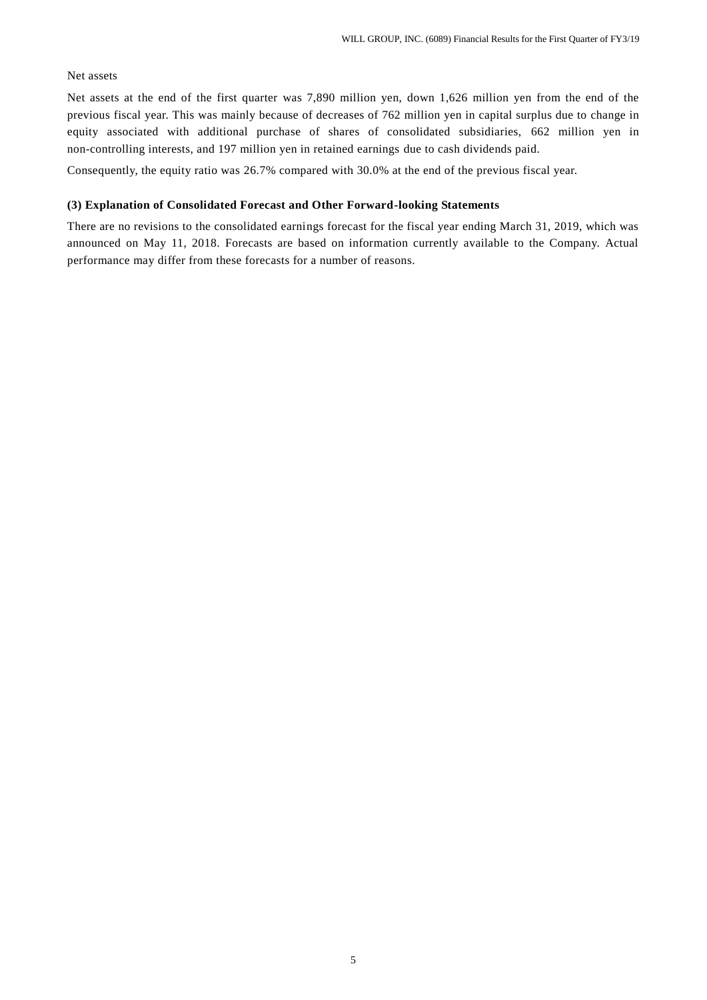#### Net assets

Net assets at the end of the first quarter was 7,890 million yen, down 1,626 million yen from the end of the previous fiscal year. This was mainly because of decreases of 762 million yen in capital surplus due to change in equity associated with additional purchase of shares of consolidated subsidiaries, 662 million yen in non-controlling interests, and 197 million yen in retained earnings due to cash dividends paid.

Consequently, the equity ratio was 26.7% compared with 30.0% at the end of the previous fiscal year.

### **(3) Explanation of Consolidated Forecast and Other Forward-looking Statements**

There are no revisions to the consolidated earnings forecast for the fiscal year ending March 31, 2019, which was announced on May 11, 2018. Forecasts are based on information currently available to the Company. Actual performance may differ from these forecasts for a number of reasons.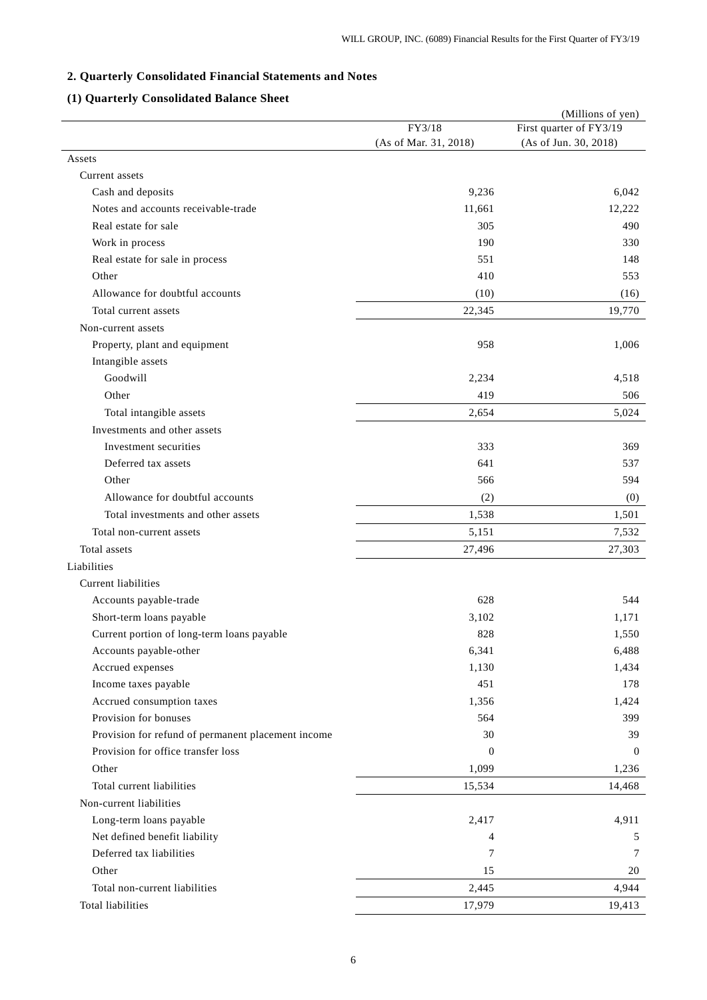# **2. Quarterly Consolidated Financial Statements and Notes**

# **(1) Quarterly Consolidated Balance Sheet**

|                                                    |                       | (Millions of yen)       |
|----------------------------------------------------|-----------------------|-------------------------|
|                                                    | FY3/18                | First quarter of FY3/19 |
|                                                    | (As of Mar. 31, 2018) | (As of Jun. 30, 2018)   |
| Assets                                             |                       |                         |
| Current assets                                     |                       |                         |
| Cash and deposits                                  | 9,236                 | 6.042                   |
| Notes and accounts receivable-trade                | 11,661                | 12,222                  |
| Real estate for sale                               | 305                   | 490                     |
| Work in process                                    | 190                   | 330                     |
| Real estate for sale in process                    | 551                   | 148                     |
| Other                                              | 410                   | 553                     |
| Allowance for doubtful accounts                    | (10)                  | (16)                    |
| Total current assets                               | 22,345                | 19,770                  |
| Non-current assets                                 |                       |                         |
| Property, plant and equipment                      | 958                   | 1,006                   |
| Intangible assets                                  |                       |                         |
| Goodwill                                           | 2,234                 | 4,518                   |
| Other                                              | 419                   | 506                     |
| Total intangible assets                            | 2,654                 | 5,024                   |
| Investments and other assets                       |                       |                         |
| Investment securities                              | 333                   | 369                     |
| Deferred tax assets                                | 641                   | 537                     |
| Other                                              | 566                   | 594                     |
| Allowance for doubtful accounts                    | (2)                   | (0)                     |
| Total investments and other assets                 | 1,538                 | 1,501                   |
| Total non-current assets                           | 5,151                 | 7,532                   |
| Total assets                                       | 27,496                | 27,303                  |
| Liabilities                                        |                       |                         |
| Current liabilities                                |                       |                         |
| Accounts payable-trade                             | 628                   | 544                     |
| Short-term loans payable                           | 3,102                 | 1,171                   |
| Current portion of long-term loans payable         | 828                   | 1,550                   |
| Accounts payable-other                             | 6,341                 | 6,488                   |
| Accrued expenses                                   | 1,130                 | 1,434                   |
| Income taxes payable                               | 451                   | 178                     |
| Accrued consumption taxes                          | 1,356                 | 1,424                   |
| Provision for bonuses                              | 564                   | 399                     |
| Provision for refund of permanent placement income | 30                    | 39                      |
| Provision for office transfer loss                 | $\mathbf{0}$          | $\theta$                |
| Other                                              | 1,099                 | 1,236                   |
| Total current liabilities                          | 15,534                | 14,468                  |
| Non-current liabilities                            |                       |                         |
| Long-term loans payable                            | 2,417                 | 4,911                   |
| Net defined benefit liability                      | 4                     | 5                       |
| Deferred tax liabilities                           | 7                     | 7                       |
| Other                                              | 15                    | 20                      |
| Total non-current liabilities                      | 2,445                 | 4,944                   |
| Total liabilities                                  | 17,979                | 19,413                  |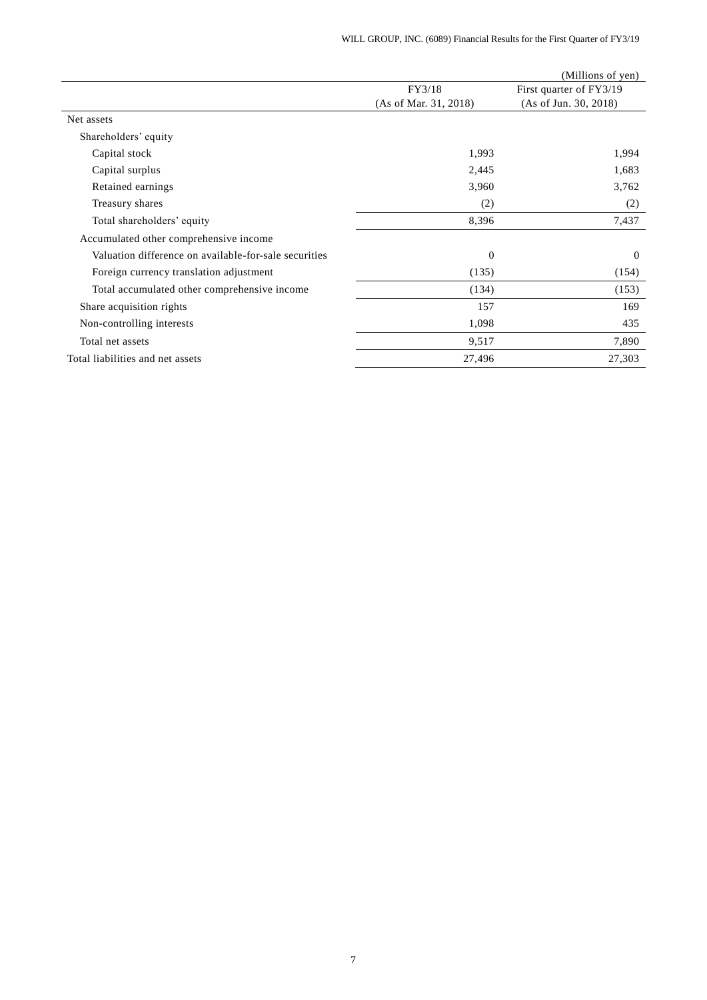|                                                       |                       | (Millions of yen)       |
|-------------------------------------------------------|-----------------------|-------------------------|
|                                                       | FY3/18                | First quarter of FY3/19 |
|                                                       | (As of Mar. 31, 2018) | (As of Jun. 30, 2018)   |
| Net assets                                            |                       |                         |
| Shareholders' equity                                  |                       |                         |
| Capital stock                                         | 1,993                 | 1,994                   |
| Capital surplus                                       | 2,445                 | 1,683                   |
| Retained earnings                                     | 3,960                 | 3,762                   |
| Treasury shares                                       | (2)                   | (2)                     |
| Total shareholders' equity                            | 8,396                 | 7,437                   |
| Accumulated other comprehensive income                |                       |                         |
| Valuation difference on available-for-sale securities | $\theta$              | $\theta$                |
| Foreign currency translation adjustment               | (135)                 | (154)                   |
| Total accumulated other comprehensive income          | (134)                 | (153)                   |
| Share acquisition rights                              | 157                   | 169                     |
| Non-controlling interests                             | 1,098                 | 435                     |
| Total net assets                                      | 9,517                 | 7,890                   |
| Total liabilities and net assets                      | 27,496                | 27,303                  |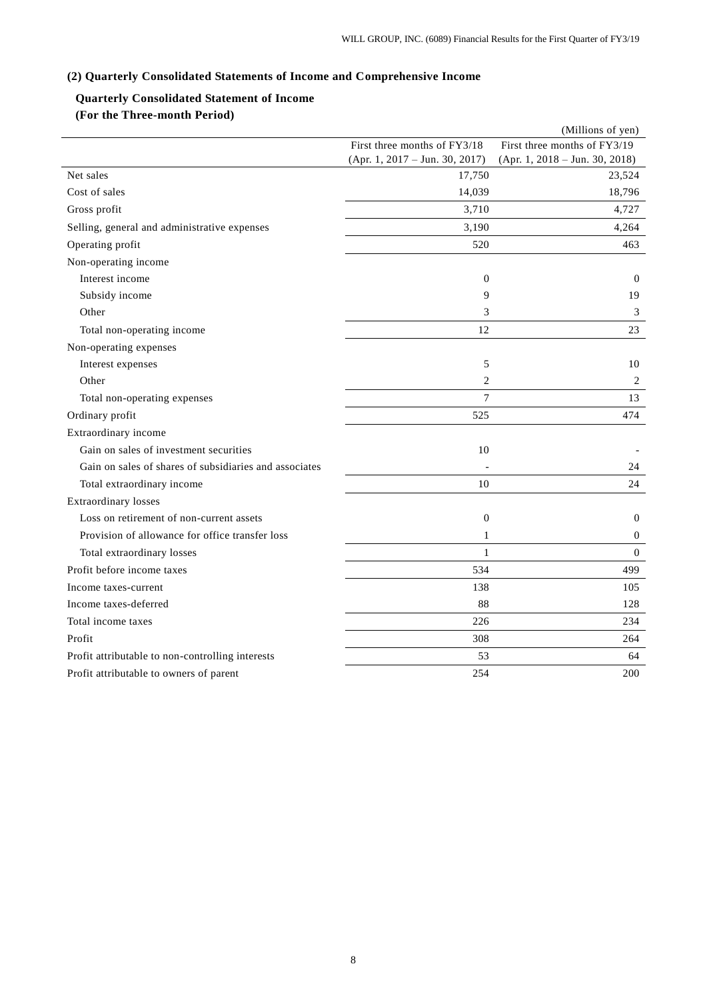# **(2) Quarterly Consolidated Statements of Income and Comprehensive Income**

# **Quarterly Consolidated Statement of Income (For the Three-month Period)**

|                                                        |                                | (Millions of yen)                |
|--------------------------------------------------------|--------------------------------|----------------------------------|
|                                                        | First three months of FY3/18   | First three months of FY3/19     |
|                                                        | (Apr. 1, 2017 - Jun. 30, 2017) | $(Apr. 1, 2018 - Jun. 30, 2018)$ |
| Net sales                                              | 17,750                         | 23,524                           |
| Cost of sales                                          | 14,039                         | 18,796                           |
| Gross profit                                           | 3,710                          | 4,727                            |
| Selling, general and administrative expenses           | 3,190                          | 4,264                            |
| Operating profit                                       | 520                            | 463                              |
| Non-operating income                                   |                                |                                  |
| Interest income                                        | $\boldsymbol{0}$               | $\theta$                         |
| Subsidy income                                         | 9                              | 19                               |
| Other                                                  | 3                              | 3                                |
| Total non-operating income                             | 12                             | 23                               |
| Non-operating expenses                                 |                                |                                  |
| Interest expenses                                      | 5                              | 10                               |
| Other                                                  | $\overline{c}$                 | 2                                |
| Total non-operating expenses                           | $\tau$                         | 13                               |
| Ordinary profit                                        | 525                            | 474                              |
| Extraordinary income                                   |                                |                                  |
| Gain on sales of investment securities                 | 10                             |                                  |
| Gain on sales of shares of subsidiaries and associates |                                | 24                               |
| Total extraordinary income                             | 10                             | 24                               |
| <b>Extraordinary losses</b>                            |                                |                                  |
| Loss on retirement of non-current assets               | $\theta$                       | $\Omega$                         |
| Provision of allowance for office transfer loss        | $\mathbf{1}$                   | $\boldsymbol{0}$                 |
| Total extraordinary losses                             | $\mathbf{1}$                   | $\boldsymbol{0}$                 |
| Profit before income taxes                             | 534                            | 499                              |
| Income taxes-current                                   | 138                            | 105                              |
| Income taxes-deferred                                  | 88                             | 128                              |
| Total income taxes                                     | 226                            | 234                              |
| Profit                                                 | 308                            | 264                              |
| Profit attributable to non-controlling interests       | 53                             | 64                               |
| Profit attributable to owners of parent                | 254                            | 200                              |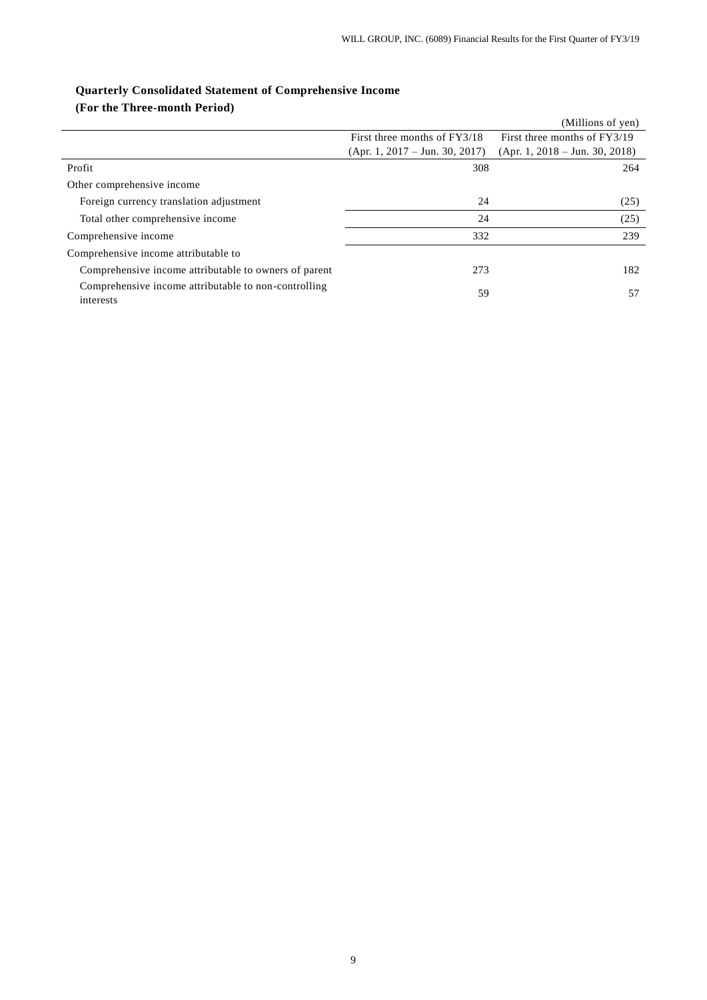|                                                                   |                                  | (Millions of yen)                |
|-------------------------------------------------------------------|----------------------------------|----------------------------------|
|                                                                   | First three months of FY3/18     | First three months of FY3/19     |
|                                                                   | $(Apr. 1, 2017 - Jun. 30, 2017)$ | $(Apr. 1, 2018 - Jun. 30, 2018)$ |
| Profit                                                            | 308                              | 264                              |
| Other comprehensive income                                        |                                  |                                  |
| Foreign currency translation adjustment                           | 24                               | (25)                             |
| Total other comprehensive income                                  | 24                               | (25)                             |
| Comprehensive income                                              | 332                              | 239                              |
| Comprehensive income attributable to                              |                                  |                                  |
| Comprehensive income attributable to owners of parent             | 273                              | 182                              |
| Comprehensive income attributable to non-controlling<br>interests | 59                               | 57                               |

# **Quarterly Consolidated Statement of Comprehensive Income (For the Three-month Period)**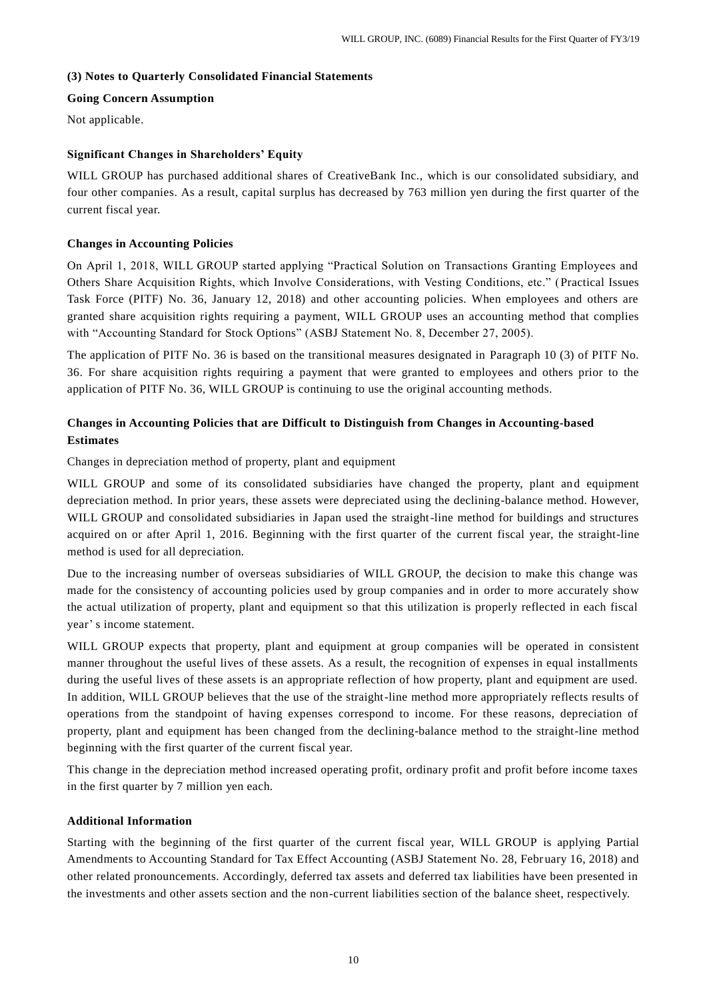## **(3) Notes to Quarterly Consolidated Financial Statements**

## **Going Concern Assumption**

Not applicable.

# **Significant Changes in Shareholders' Equity**

WILL GROUP has purchased additional shares of CreativeBank Inc., which is our consolidated subsidiary, and four other companies. As a result, capital surplus has decreased by 763 million yen during the first quarter of the current fiscal year.

### **Changes in Accounting Policies**

On April 1, 2018, WILL GROUP started applying "Practical Solution on Transactions Granting Employees and Others Share Acquisition Rights, which Involve Considerations, with Vesting Conditions, etc." (Practical Issues Task Force (PITF) No. 36, January 12, 2018) and other accounting policies. When employees and others are granted share acquisition rights requiring a payment, WILL GROUP uses an accounting method that complies with "Accounting Standard for Stock Options" (ASBJ Statement No. 8, December 27, 2005).

The application of PITF No. 36 is based on the transitional measures designated in Paragraph 10 (3) of PITF No. 36. For share acquisition rights requiring a payment that were granted to employees and others prior to the application of PITF No. 36, WILL GROUP is continuing to use the original accounting methods.

# **Changes in Accounting Policies that are Difficult to Distinguish from Changes in Accounting-based Estimates**

Changes in depreciation method of property, plant and equipment

WILL GROUP and some of its consolidated subsidiaries have changed the property, plant and equipment depreciation method. In prior years, these assets were depreciated using the declining-balance method. However, WILL GROUP and consolidated subsidiaries in Japan used the straight-line method for buildings and structures acquired on or after April 1, 2016. Beginning with the first quarter of the current fiscal year, the straight-line method is used for all depreciation.

Due to the increasing number of overseas subsidiaries of WILL GROUP, the decision to make this change was made for the consistency of accounting policies used by group companies and in order to more accurately show the actual utilization of property, plant and equipment so that this utilization is properly reflected in each fiscal year' s income statement.

WILL GROUP expects that property, plant and equipment at group companies will be operated in consistent manner throughout the useful lives of these assets. As a result, the recognition of expenses in equal installments during the useful lives of these assets is an appropriate reflection of how property, plant and equipment are used. In addition, WILL GROUP believes that the use of the straight-line method more appropriately reflects results of operations from the standpoint of having expenses correspond to income. For these reasons, depreciation of property, plant and equipment has been changed from the declining-balance method to the straight-line method beginning with the first quarter of the current fiscal year.

This change in the depreciation method increased operating profit, ordinary profit and profit before income taxes in the first quarter by 7 million yen each.

#### **Additional Information**

Starting with the beginning of the first quarter of the current fiscal year, WILL GROUP is applying Partial Amendments to Accounting Standard for Tax Effect Accounting (ASBJ Statement No. 28, February 16, 2018) and other related pronouncements. Accordingly, deferred tax assets and deferred tax liabilities have been presented in the investments and other assets section and the non-current liabilities section of the balance sheet, respectively.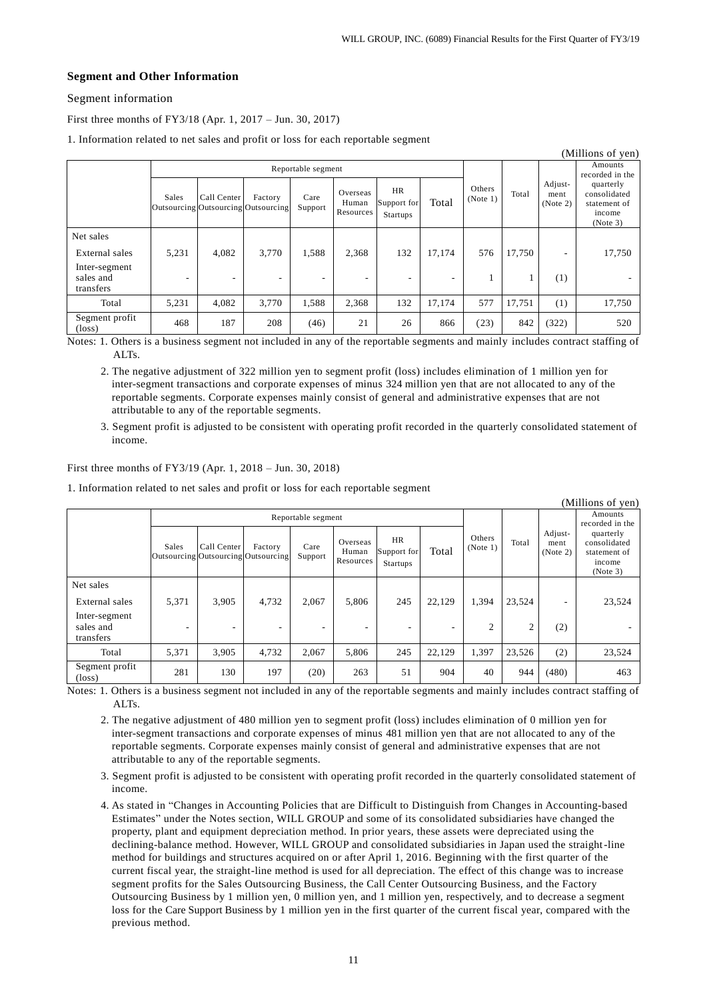# **Segment and Other Information**

Segment information

First three months of FY3/18 (Apr. 1, 2017 – Jun. 30, 2017)

1. Information related to net sales and profit or loss for each reportable segment

| (Millions of yen)                       |                    |                                                    |         |                 |                                |                                      |        |                    |        |                             |                                                                 |
|-----------------------------------------|--------------------|----------------------------------------------------|---------|-----------------|--------------------------------|--------------------------------------|--------|--------------------|--------|-----------------------------|-----------------------------------------------------------------|
|                                         | Reportable segment |                                                    |         |                 |                                |                                      |        |                    |        |                             | Amounts<br>recorded in the                                      |
|                                         | Sales              | Call Center<br>Outsourcing Outsourcing Outsourcing | Factory | Care<br>Support | Overseas<br>Human<br>Resources | <b>HR</b><br>Support for<br>Startups | Total  | Others<br>(Note 1) | Total  | Adjust-<br>ment<br>(Note 2) | quarterly<br>consolidated<br>statement of<br>income<br>(Note 3) |
| Net sales                               |                    |                                                    |         |                 |                                |                                      |        |                    |        |                             |                                                                 |
| External sales                          | 5,231              | 4,082                                              | 3,770   | 1,588           | 2,368                          | 132                                  | 17,174 | 576                | 17,750 | ۰                           | 17,750                                                          |
| Inter-segment<br>sales and<br>transfers |                    | $\overline{\phantom{a}}$                           | -       |                 |                                | ۰                                    | ۰      |                    |        | (1)                         |                                                                 |
| Total                                   | 5,231              | 4.082                                              | 3.770   | 1,588           | 2,368                          | 132                                  | 17,174 | 577                | 17,751 | (1)                         | 17,750                                                          |
| Segment profit<br>$(\text{loss})$       | 468                | 187                                                | 208     | (46)            | 21                             | 26                                   | 866    | (23)               | 842    | (322)                       | 520                                                             |

Notes: 1. Others is a business segment not included in any of the reportable segments and mainly includes contract staffing of ALT<sub>s</sub>

2. The negative adjustment of 322 million yen to segment profit (loss) includes elimination of 1 million yen for inter-segment transactions and corporate expenses of minus 324 million yen that are not allocated to any of the reportable segments. Corporate expenses mainly consist of general and administrative expenses that are not attributable to any of the reportable segments.

3. Segment profit is adjusted to be consistent with operating profit recorded in the quarterly consolidated statement of income.

#### First three months of FY3/19 (Apr. 1, 2018 – Jun. 30, 2018)

1. Information related to net sales and profit or loss for each reportable segment

| (Millions of yen)                       |                    |                                                    |         |                 |                                |                                      |        |                    |                |                             |                                                                 |
|-----------------------------------------|--------------------|----------------------------------------------------|---------|-----------------|--------------------------------|--------------------------------------|--------|--------------------|----------------|-----------------------------|-----------------------------------------------------------------|
|                                         | Reportable segment |                                                    |         |                 |                                |                                      |        |                    |                |                             | Amounts<br>recorded in the                                      |
|                                         | Sales              | Call Center<br>Outsourcing Outsourcing Outsourcing | Factory | Care<br>Support | Overseas<br>Human<br>Resources | <b>HR</b><br>Support for<br>Startups | Total  | Others<br>(Note 1) | Total          | Adjust-<br>ment<br>(Note 2) | quarterly<br>consolidated<br>statement of<br>income<br>(Note 3) |
| Net sales                               |                    |                                                    |         |                 |                                |                                      |        |                    |                |                             |                                                                 |
| External sales                          | 5,371              | 3,905                                              | 4,732   | 2,067           | 5,806                          | 245                                  | 22.129 | 1,394              | 23,524         | ۰                           | 23,524                                                          |
| Inter-segment<br>sales and<br>transfers |                    |                                                    |         | ۰               | $\overline{\phantom{a}}$       | $\overline{\phantom{a}}$             | ٠      | $\overline{2}$     | $\overline{c}$ | (2)                         |                                                                 |
| Total                                   | 5,371              | 3,905                                              | 4,732   | 2,067           | 5,806                          | 245                                  | 22,129 | 1,397              | 23,526         | (2)                         | 23,524                                                          |
| Segment profit<br>$(\text{loss})$       | 281                | 130                                                | 197     | (20)            | 263                            | 51                                   | 904    | 40                 | 944            | (480)                       | 463                                                             |

Notes: 1. Others is a business segment not included in any of the reportable segments and mainly includes contract staffing of ALTs.

- 2. The negative adjustment of 480 million yen to segment profit (loss) includes elimination of 0 million yen for inter-segment transactions and corporate expenses of minus 481 million yen that are not allocated to any of the reportable segments. Corporate expenses mainly consist of general and administrative expenses that are not attributable to any of the reportable segments.
- 3. Segment profit is adjusted to be consistent with operating profit recorded in the quarterly consolidated statement of income.
- 4. As stated in "Changes in Accounting Policies that are Difficult to Distinguish from Changes in Accounting-based Estimates" under the Notes section, WILL GROUP and some of its consolidated subsidiaries have changed the property, plant and equipment depreciation method. In prior years, these assets were depreciated using the declining-balance method. However, WILL GROUP and consolidated subsidiaries in Japan used the straight-line method for buildings and structures acquired on or after April 1, 2016. Beginning with the first quarter of the current fiscal year, the straight-line method is used for all depreciation. The effect of this change was to increase segment profits for the Sales Outsourcing Business, the Call Center Outsourcing Business, and the Factory Outsourcing Business by 1 million yen, 0 million yen, and 1 million yen, respectively, and to decrease a segment loss for the Care Support Business by 1 million yen in the first quarter of the current fiscal year, compared with the previous method.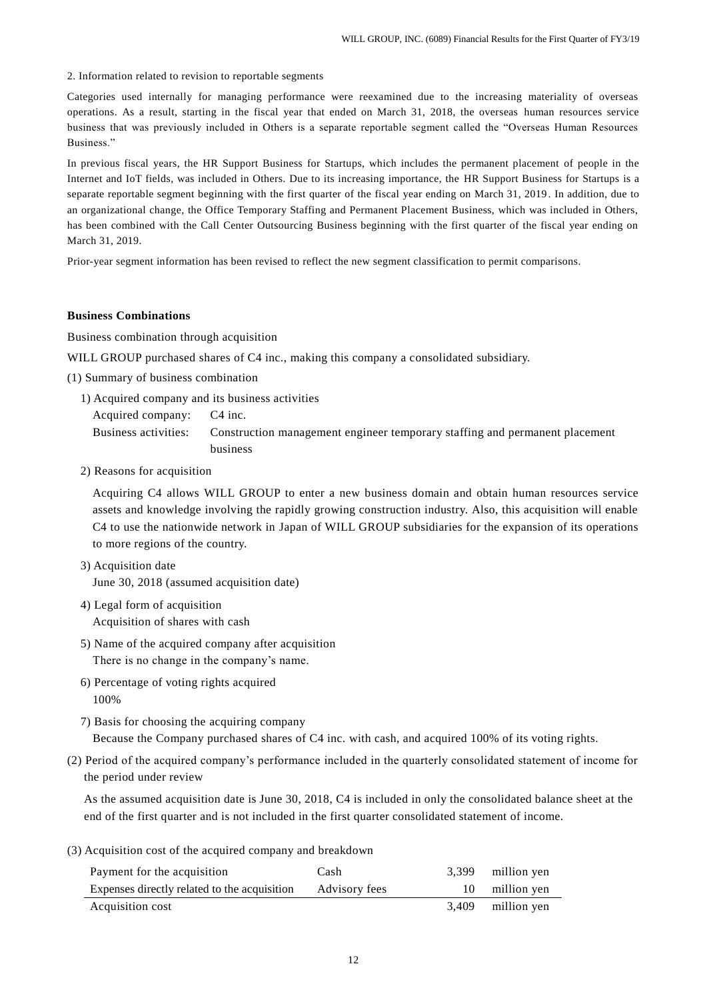2. Information related to revision to reportable segments

Categories used internally for managing performance were reexamined due to the increasing materiality of overseas operations. As a result, starting in the fiscal year that ended on March 31, 2018, the overseas human resources service business that was previously included in Others is a separate reportable segment called the "Overseas Human Resources Business."

In previous fiscal years, the HR Support Business for Startups, which includes the permanent placement of people in the Internet and IoT fields, was included in Others. Due to its increasing importance, the HR Support Business for Startups is a separate reportable segment beginning with the first quarter of the fiscal year ending on March 31, 2019 . In addition, due to an organizational change, the Office Temporary Staffing and Permanent Placement Business, which was included in Others, has been combined with the Call Center Outsourcing Business beginning with the first quarter of the fiscal year ending on March 31, 2019.

Prior-year segment information has been revised to reflect the new segment classification to permit comparisons.

#### **Business Combinations**

Business combination through acquisition

WILL GROUP purchased shares of C4 inc., making this company a consolidated subsidiary.

(1) Summary of business combination

1) Acquired company and its business activities

Acquired company: C4 inc. Business activities: Construction management engineer temporary staffing and permanent placement business

2) Reasons for acquisition

Acquiring C4 allows WILL GROUP to enter a new business domain and obtain human resources service assets and knowledge involving the rapidly growing construction industry. Also, this acquisition will enable C4 to use the nationwide network in Japan of WILL GROUP subsidiaries for the expansion of its operations to more regions of the country.

- 3) Acquisition date June 30, 2018 (assumed acquisition date)
- 4) Legal form of acquisition Acquisition of shares with cash
- 5) Name of the acquired company after acquisition There is no change in the company's name.
- 6) Percentage of voting rights acquired 100%

7) Basis for choosing the acquiring company Because the Company purchased shares of C4 inc. with cash, and acquired 100% of its voting rights.

(2) Period of the acquired company's performance included in the quarterly consolidated statement of income for the period under review

As the assumed acquisition date is June 30, 2018, C4 is included in only the consolidated balance sheet at the end of the first quarter and is not included in the first quarter consolidated statement of income.

(3) Acquisition cost of the acquired company and breakdown

| Payment for the acquisition                  | Cash          | 3.399 | million yen |
|----------------------------------------------|---------------|-------|-------------|
| Expenses directly related to the acquisition | Advisory fees |       | million yen |
| Acquisition cost                             |               | 3.409 | million yen |